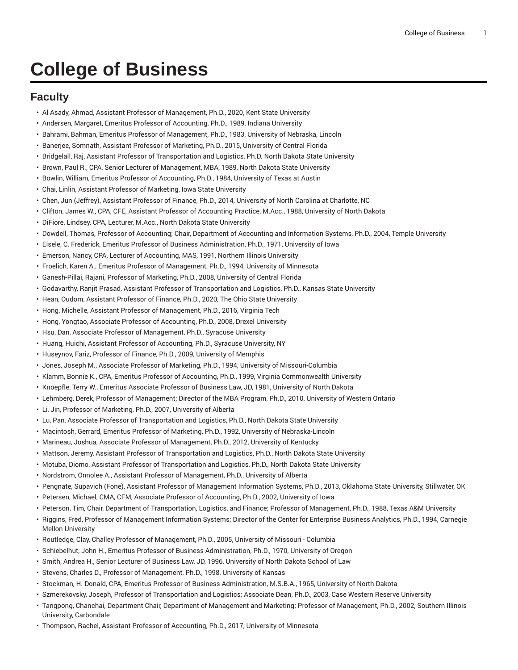## **College of Business**

## **Faculty**

- Al Asady, Ahmad, Assistant Professor of Management, Ph.D., 2020, Kent State University
- Andersen, Margaret, Emeritus Professor of Accounting, Ph.D., 1989, Indiana University
- Bahrami, Bahman, Emeritus Professor of Management, Ph.D., 1983, University of Nebraska, Lincoln
- Banerjee, Somnath, Assistant Professor of Marketing, Ph.D., 2015, University of Central Florida
- Bridgelall, Raj, Assistant Professor of Transportation and Logistics, Ph.D. North Dakota State University
- Brown, Paul R., CPA, Senior Lecturer of Management, MBA, 1989, North Dakota State University
- Bowlin, William, Emeritus Professor of Accounting, Ph.D., 1984, University of Texas at Austin
- Chai, Linlin, Assistant Professor of Marketing, Iowa State University
- Chen, Jun (Jeffrey), Assistant Professor of Finance, Ph.D., 2014, University of North Carolina at Charlotte, NC
- Clifton, James W., CPA, CFE, Assistant Professor of Accounting Practice, M.Acc., 1988, University of North Dakota
- DiFiore, Lindsey, CPA, Lecturer, M.Acc., North Dakota State University
- Dowdell, Thomas, Professor of Accounting; Chair, Department of Accounting and Information Systems, Ph.D., 2004, Temple University
- Eisele, C. Frederick, Emeritus Professor of Business Administration, Ph.D., 1971, University of Iowa
- Emerson, Nancy, CPA, Lecturer of Accounting, MAS, 1991, Northern Illinois University
- Froelich, Karen A., Emeritus Professor of Management, Ph.D., 1994, University of Minnesota
- Ganesh-Pillai, Rajani, Professor of Marketing, Ph.D., 2008, University of Central Florida
- Godavarthy, Ranjit Prasad, Assistant Professor of Transportation and Logistics, Ph.D., Kansas State University
- Hean, Oudom, Assistant Professor of Finance, Ph.D., 2020, The Ohio State University
- Hong, Michelle, Assistant Professor of Management, Ph.D., 2016, Virginia Tech
- Hong, Yongtao, Associate Professor of Accounting, Ph.D., 2008, Drexel University
- Hsu, Dan, Associate Professor of Management, Ph.D., Syracuse University
- Huang, Huichi, Assistant Professor of Accounting, Ph.D., Syracuse University, NY
- Huseynov, Fariz, Professor of Finance, Ph.D., 2009, University of Memphis
- Jones, Joseph M., Associate Professor of Marketing, Ph.D., 1994, University of Missouri-Columbia
- Klamm, Bonnie K., CPA, Emeritus Professor of Accounting, Ph.D., 1999, Virginia Commonwealth University
- Knoepfle, Terry W., Emeritus Associate Professor of Business Law, JD, 1981, University of North Dakota
- Lehmberg, Derek, Professor of Management; Director of the MBA Program, Ph.D., 2010, University of Western Ontario
- Li, Jin, Professor of Marketing, Ph.D., 2007, University of Alberta
- Lu, Pan, Associate Professor of Transportation and Logistics, Ph.D., North Dakota State University
- Macintosh, Gerrard, Emeritus Professor of Marketing, Ph.D., 1992, University of Nebraska-Lincoln
- Marineau, Joshua, Associate Professor of Management, Ph.D., 2012, University of Kentucky
- Mattson, Jeremy, Assistant Professor of Transportation and Logistics, Ph.D., North Dakota State University
- Motuba, Diomo, Assistant Professor of Transportation and Logistics, Ph.D., North Dakota State University
- Nordstrom, Onnolee A., Assistant Professor of Management, Ph.D., University of Alberta
- Pengnate, Supavich (Fone), Assistant Professor of Management Information Systems, Ph.D., 2013, Oklahoma State University, Stillwater, OK
- Petersen, Michael, CMA, CFM, Associate Professor of Accounting, Ph.D., 2002, University of Iowa
- Peterson, Tim, Chair, Department of Transportation, Logistics, and Finance; Professor of Management, Ph.D., 1988, Texas A&M University
- Riggins, Fred, Professor of Management Information Systems; Director of the Center for Enterprise Business Analytics, Ph.D., 1994, Carnegie Mellon University
- Routledge, Clay, Challey Professor of Management, Ph.D., 2005, University of Missouri Columbia
- Schiebelhut, John H., Emeritus Professor of Business Administration, Ph.D., 1970, University of Oregon
- Smith, Andrea H., Senior Lecturer of Business Law, JD, 1996, University of North Dakota School of Law
- Stevens, Charles D., Professor of Management, Ph.D., 1998, University of Kansas
- Stockman, H. Donald, CPA, Emeritus Professor of Business Administration, M.S.B.A., 1965, University of North Dakota
- Szmerekovsky, Joseph, Professor of Transportation and Logistics; Associate Dean, Ph.D., 2003, Case Western Reserve University
- Tangpong, Chanchai, Department Chair, Department of Management and Marketing; Professor of Management, Ph.D., 2002, Southern Illinois University, Carbondale
- Thompson, Rachel, Assistant Professor of Accounting, Ph.D., 2017, University of Minnesota